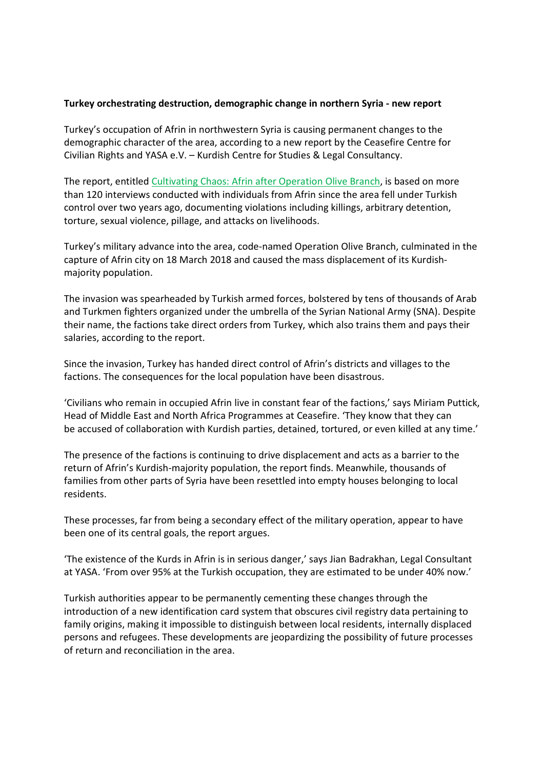## Turkey orchestrating destruction, demographic change in northern Syria - new report

Turkey's occupation of Afrin in northwestern Syria is causing permanent changes to the demographic character of the area, according to a new report by the Ceasefire Centre for Civilian Rights and YASA e.V. – Kurdish Centre for Studies & Legal Consultancy.

The report, entitled Cultivating Chaos: Afrin after Operation Olive Branch, is based on more than 120 interviews conducted with individuals from Afrin since the area fell under Turkish control over two years ago, documenting violations including killings, arbitrary detention, torture, sexual violence, pillage, and attacks on livelihoods.

Turkey's military advance into the area, code-named Operation Olive Branch, culminated in the capture of Afrin city on 18 March 2018 and caused the mass displacement of its Kurdishmajority population.

The invasion was spearheaded by Turkish armed forces, bolstered by tens of thousands of Arab and Turkmen fighters organized under the umbrella of the Syrian National Army (SNA). Despite their name, the factions take direct orders from Turkey, which also trains them and pays their salaries, according to the report.

Since the invasion, Turkey has handed direct control of Afrin's districts and villages to the factions. The consequences for the local population have been disastrous.

'Civilians who remain in occupied Afrin live in constant fear of the factions,' says Miriam Puttick, Head of Middle East and North Africa Programmes at Ceasefire. 'They know that they can be accused of collaboration with Kurdish parties, detained, tortured, or even killed at any time.'

The presence of the factions is continuing to drive displacement and acts as a barrier to the return of Afrin's Kurdish-majority population, the report finds. Meanwhile, thousands of families from other parts of Syria have been resettled into empty houses belonging to local residents.

These processes, far from being a secondary effect of the military operation, appear to have been one of its central goals, the report argues.

'The existence of the Kurds in Afrin is in serious danger,' says Jian Badrakhan, Legal Consultant at YASA. 'From over 95% at the Turkish occupation, they are estimated to be under 40% now.'

Turkish authorities appear to be permanently cementing these changes through the introduction of a new identification card system that obscures civil registry data pertaining to family origins, making it impossible to distinguish between local residents, internally displaced persons and refugees. These developments are jeopardizing the possibility of future processes of return and reconciliation in the area.